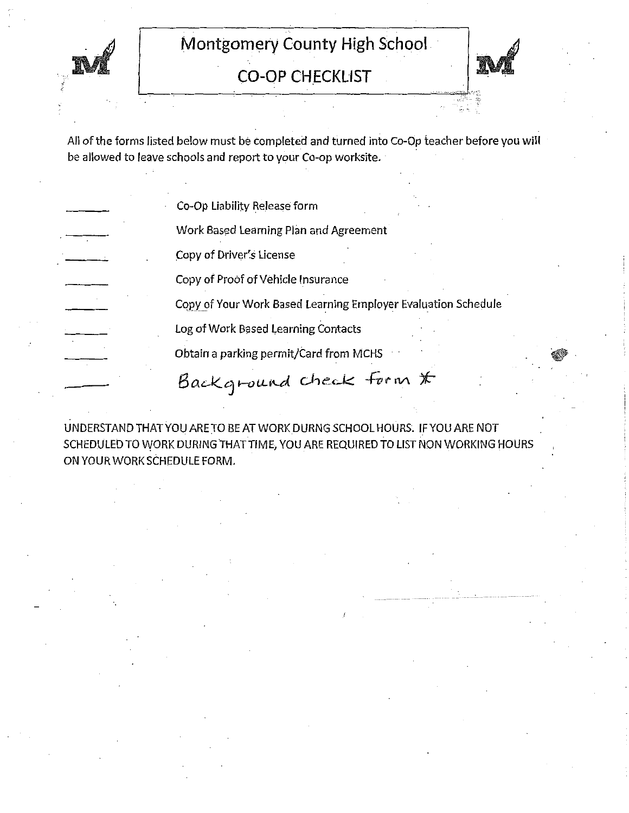

**CO-OP CHECKLIST** 



All of the forms listed below must be completed and turned into Co-Op teacher before you will be allowed to leave schools and report to your Co-op worksite.

Co-Op Liability Release form

Work Based Learning Plan and Agreement

Copy of Driver's License

Copy of Proof of Vehicle Insurance

Copy of Your Work Based Learning Employer Evaluation Schedule

Log of Work Based Learning Contacts

Obtain a parking permit/Card from MCHS

Background check form \*

UNDERSTAND THAT YOU ARE TO BE AT WORK DURNG SCHOOL HOURS. IF YOU ARE NOT SCHEDULED TO WORK DURING THAT TIME, YOU ARE REQUIRED TO LIST NON WORKING HOURS ON YOUR WORK SCHEDULE FORM.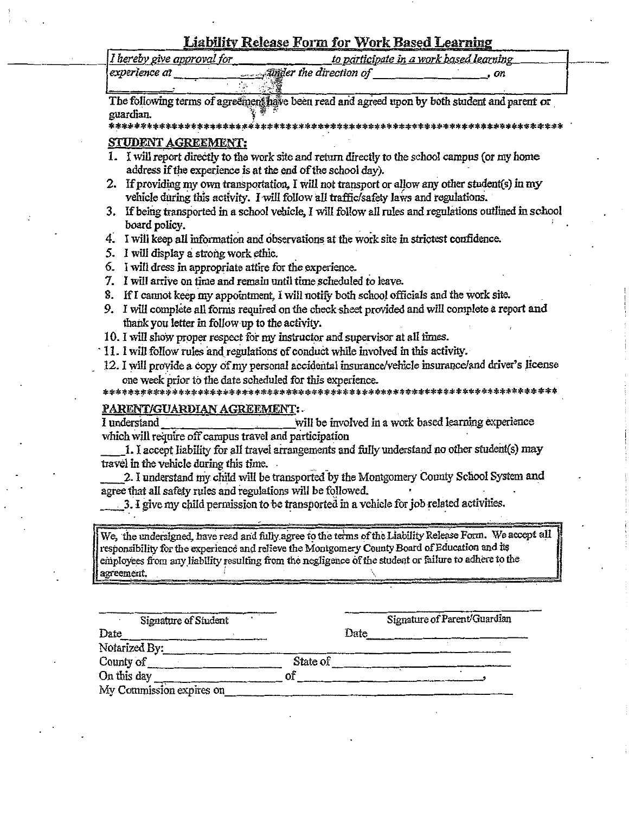|  |  |  |  | Liability Release Form for Work Based Learning |  |
|--|--|--|--|------------------------------------------------|--|
|  |  |  |  |                                                |  |

|                            | is considerably and considerably the second construction of the construction of the construction of the construction of the construction of the construction of the construction of the construction of the construction of th |  |
|----------------------------|--------------------------------------------------------------------------------------------------------------------------------------------------------------------------------------------------------------------------------|--|
| I hereby give approval for | to participate in a work based learning                                                                                                                                                                                        |  |
| experience at              | <b>Exampler</b> the direction of<br>ON.                                                                                                                                                                                        |  |

The following terms of agreement have been read and agreed upon by both student and parent or guardian.

\*\*\*\*\*\*\*\*\*\*\*\*\*\*\* \*\*\*\*\*\*\*\*\*\*\*\*\*\*\*\*\*\*\*\*\*\*\*\*\*\*\*\*\*\*\*\*

### STUDENT AGREEMENT:

- 1. I will report directly to the work site and return directly to the school campus (or my home address if the experience is at the end of the school day).
- 2. If providing my own transportation, I will not transport or allow any other student(s) in my vehicle during this activity. I will follow all traffic/safety laws and regulations.
- 3. If being transported in a school vehicle, I will follow all rules and regulations outlined in school board policy.
- 4. I will keep all information and observations at the work site in strictest confidence.
- 5. I will display a strong work ethic.
- 6. I will dress in appropriate attire for the experience.
- 7. I will arrive on time and remain until time scheduled to leave.
- 8. If I cannot keep my appointment, I will notify both school officials and the work site.
- 9. I will complete all forms required on the check sheet provided and will complete a report and thank you letter in follow up to the activity.
- 10. I will show proper respect for my instructor and supervisor at all times.
- 11. I will follow rules and regulations of conduct while involved in this activity.
- 12. I will provide a copy of my personal accidental insurance/vehicle insurance/and driver's license one week prior to the date scheduled for this experience.

### PARENT/GUARDIAN AGREEMENT: .

will be involved in a work based learning experience I understand which will require off campus travel and participation

1. I accept liability for all travel arrangements and fully understand no other student(s) may travel in the vehicle during this time.

2. I understand my child will be transported by the Montgomery County School System and agree that all safety rules and regulations will be followed.

3. I give my child permission to be transported in a vehicle for job related activities.

We, the undersigned, have read and fully agree to the terms of the Liability Release Form. We accept all responsibility for the experience and relieve the Montgomery County Board of Education and its employees from any liability resulting from the negligence of the student or failure to adhere to the agreement.

| Signature of Student     |          |      | Signature of Parent/Guardian |
|--------------------------|----------|------|------------------------------|
| Date                     |          | Date |                              |
| Notarized By:            |          |      |                              |
| County of                | State of |      |                              |
| On this day              |          |      |                              |
| My Commission expires on |          |      |                              |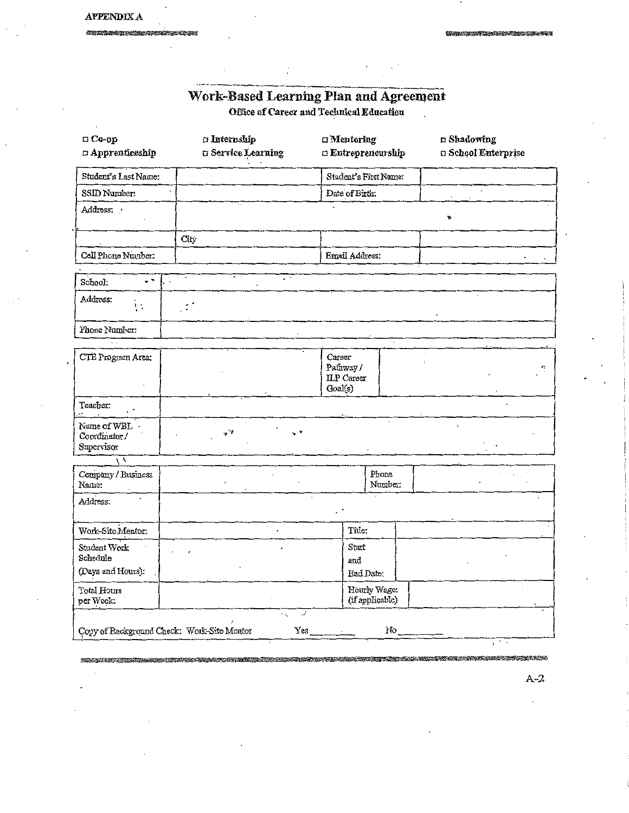822

2. 不管的 医心包病毒 化丙基

# Work-Based Learning Plan and Agreement<br>Office of Career and Technical Education

| $\square$ Co-op<br>$\Box$ Apprenticeship      | $\Box$ Internship<br>G Service Learning                             | $\Box$ Mentoring<br><b>Eutrepreneurship</b>        | n Shadowing<br><b>a School Enterprise</b> |
|-----------------------------------------------|---------------------------------------------------------------------|----------------------------------------------------|-------------------------------------------|
| Student's Last Name:                          |                                                                     | Student's First Name:                              |                                           |
| SSID Number.                                  |                                                                     | Date of Birth:                                     |                                           |
| Address:                                      |                                                                     |                                                    | ÷.                                        |
|                                               | City                                                                |                                                    |                                           |
| Cell Phone Number:                            |                                                                     | Email Address:                                     |                                           |
| ۰.<br>School:                                 | $\overline{\cdot}$ .                                                |                                                    |                                           |
| Address:                                      |                                                                     |                                                    |                                           |
| Phone Number:                                 |                                                                     |                                                    |                                           |
| CTE Program Area:                             |                                                                     | Career<br>Pathway/<br><b>ILP</b> Career<br>Goal(s) | ۵ţ.                                       |
| Teacher:<br>., <b>.</b><br>$\mathbf{r}$       |                                                                     |                                                    |                                           |
| Name of WBL.<br>Coordinator/<br>Supervisor    | v *<br>$\mathcal{I}$                                                |                                                    |                                           |
| $\overline{N}$                                |                                                                     |                                                    |                                           |
| Company / Business<br>Name:                   |                                                                     | Phone<br>Number:                                   |                                           |
| Address:                                      |                                                                     |                                                    |                                           |
| Work-Site Mentor:                             | $\overline{a}$                                                      | Title:                                             |                                           |
| Student Work<br>Schedule<br>(Days and Hours): |                                                                     | Start<br>and<br>End Date:                          |                                           |
| Total Hours<br>per Week:                      |                                                                     | Hourly Wage:<br>(if applicable)                    |                                           |
|                                               | نمبه<br>$\sim$<br>Yes<br>Copy of Background Check: Work-Site Mentor | No                                                 |                                           |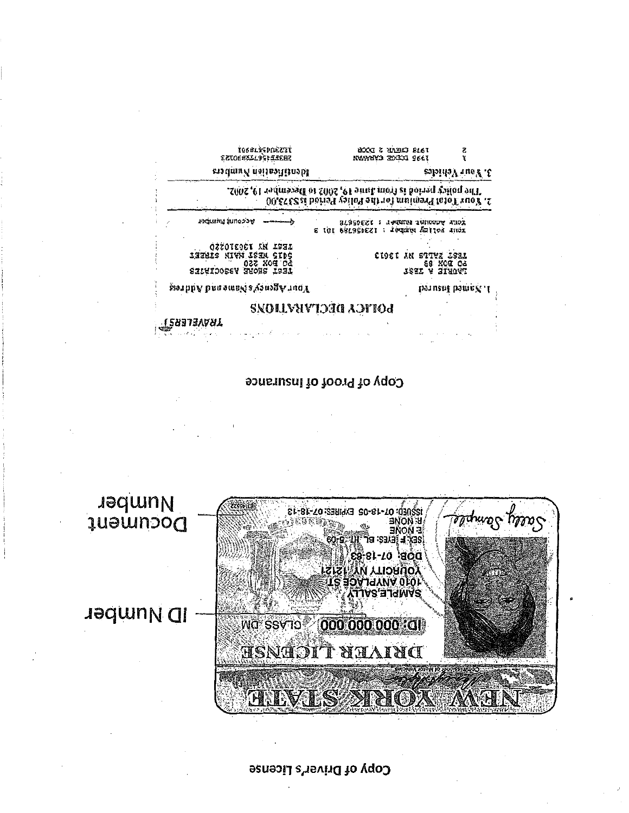# **Copy of Driver's License**



# Copy of Proof of Insurance

|                                                                                   | 2. Sout Tots Sremium for the Police Peisch is S373.60                |
|-----------------------------------------------------------------------------------|----------------------------------------------------------------------|
| <b>Sections filmoppe</b>                                                          | KONY ACCOUNT WEDER ! 123dState<br>RUIL SOTTER MEERL : ISSUSSIES IN S |
| AEZOTEOCT AN ABSA<br>131916 Nivn 161M Gids<br>022 XOG CE<br>1531 2HOUE V220CIULUS | CI9CI AN STIVE LSGL<br>88 KOS CS<br>TAURIE A TISCA                   |
| kort Agore's conneand Administration                                              | baruant bamne, .l.                                                   |

trsantprisot<br>SBJERTRRRRD

TRAYASLERI

eradmuk noisuafliseobl

ខ<br>រ

3. sour Vehicles

TON CHEAR 3 DOGS<br>TON CHANNA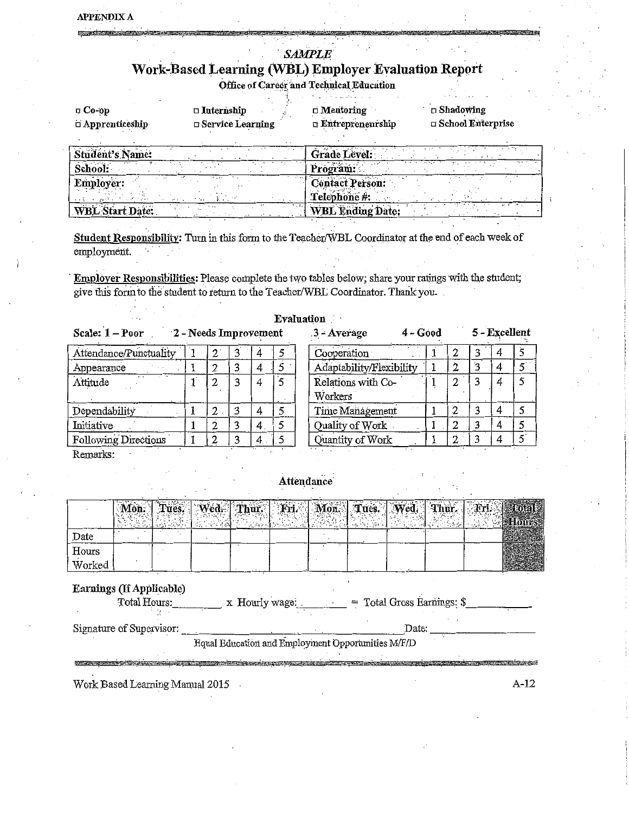# **SAMPLE** Work-Based Learning (WBL) Employer Evaluation Report Office of Career and Technical Education

| $\Box$ Co-op<br>$\Box$ Apprenticeship | $\Box$ Internship<br>$\Box$ Service Learning | and the continues of the<br>$\Box$ Mentoring<br>$\Box$ Entrepreneurship | $\square$ Shadowing<br>$\Box$ School Enterprise |
|---------------------------------------|----------------------------------------------|-------------------------------------------------------------------------|-------------------------------------------------|
|                                       |                                              |                                                                         |                                                 |
| したいみとり たいしょうきょう                       |                                              |                                                                         |                                                 |

| Student's Name:        | Grade Level:                           |
|------------------------|----------------------------------------|
| School:                | <br>Program:                           |
| $\sim$<br>Employer:    | <b>Contact Person:</b><br>Telephone #: |
| <b>WBL Start Date:</b> | <b>WBL Ending Date:</b>                |

Student Responsibility: Turn in this form to the Teacher/WBL Coordinator at the end of each week of employment.

Employer Responsibilities: Please complete the two tables below; share your ratings with the student; give this form to the student to return to the Teacher/WBL Coordinator. Thank you.

|                        |                       |               |   | Evaluation               |            |   |   |               |  |
|------------------------|-----------------------|---------------|---|--------------------------|------------|---|---|---------------|--|
| Scale: 1 - Poor        | 2 - Needs Improvement |               |   | 3 - Average              | $4 - Good$ |   |   | 5 - Excellent |  |
| Attendance/Punctuality |                       | 4             | 5 | Cooperation              |            | 2 | 3 |               |  |
| Appearance             | 2                     |               |   | Adaptability/Flexibility |            | 2 | 3 |               |  |
| Attitude               |                       | 4             | 5 | Relations with Co-       |            | 2 |   |               |  |
|                        |                       |               |   | Workers                  |            |   |   |               |  |
| Dependability          | 2                     |               | 5 | Time Management          |            | 2 | 3 |               |  |
| Initiative             |                       | 4.            | 5 | Quality of Work          |            | 2 |   |               |  |
| Following Directions   |                       | 4<br>$\cdots$ | 5 | Quantity of Work         |            | ົ |   |               |  |

Remarks:

**ASSESSMENT** 

# Attendance

|        |  | $^{\prime}$ ed $-$ Thur |  | Tues. | 727.95 |
|--------|--|-------------------------|--|-------|--------|
| Date   |  |                         |  |       |        |
| Hours  |  |                         |  |       |        |
| Worked |  |                         |  |       |        |

# Earnings (If Applicable)

| Total Hours:             | x Hourly wage:                                     | $=$ Total Gross Earnings: \$ |  |
|--------------------------|----------------------------------------------------|------------------------------|--|
|                          |                                                    |                              |  |
|                          |                                                    |                              |  |
| Signature of Supervisor: |                                                    | Date:                        |  |
|                          |                                                    |                              |  |
|                          | Equal Education and Employment Opportunities M/F/D |                              |  |

**Constitution of the State of American State of American** 

Work Based Learning Manual 2015 .

 $A-12$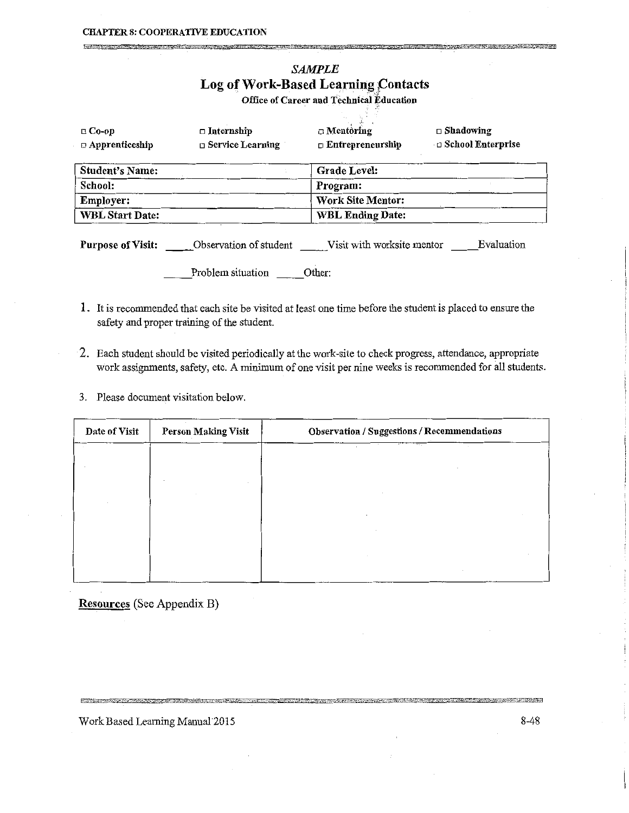#### **CHAPTER 8: COOPERATIVE EDUCATION**

# SAMPLE Log of Work-Based Learning Contacts

Office of Career and Technical Education

| $\Box$ Co-op<br>$\Box$ Apprenticeship | $\Box$ Internship<br>$\Box$ Service Learning | $\Box$ Mentoring<br>$\Box$ Entrepreneurship | $\Box$ Shadowing<br>□ School Enterprise |
|---------------------------------------|----------------------------------------------|---------------------------------------------|-----------------------------------------|
| <b>Student's Name:</b>                |                                              | <b>Grade Level:</b>                         |                                         |
| School:                               |                                              | Program:                                    |                                         |
| <b>Employer:</b>                      |                                              | <b>Work Site Mentor:</b>                    |                                         |
| <b>WBL Start Date:</b>                |                                              | <b>WBL Ending Date:</b>                     |                                         |

Problem situation \_\_\_\_\_ Other:

- 1. It is recommended that each site be visited at least one time before the student is placed to ensme the safety and proper training of the student.
- 2. Each student should be visited periodically at the work-site to check progress, attendance, appropriate work assignments, safety, etc. A minimum of one visit per nine weeks is recommended for all students.
- 3. Please document visitation below.

| Date of Visit | <b>Person Making Visit</b> | <b>Observation / Suggestions / Recommendations</b> |
|---------------|----------------------------|----------------------------------------------------|
|               |                            | $\overline{a}$                                     |
|               |                            |                                                    |
|               |                            |                                                    |
|               |                            |                                                    |
|               |                            |                                                    |
|               |                            |                                                    |

Resources (See Appendix B)

Work Based Learning Manual 2015 8-48

<u> Alban Alban Alban Alban Alban Alban Alban Alban Alban Alban Alban Alban Alban Alban Alban Alban Alban Alban A</u>